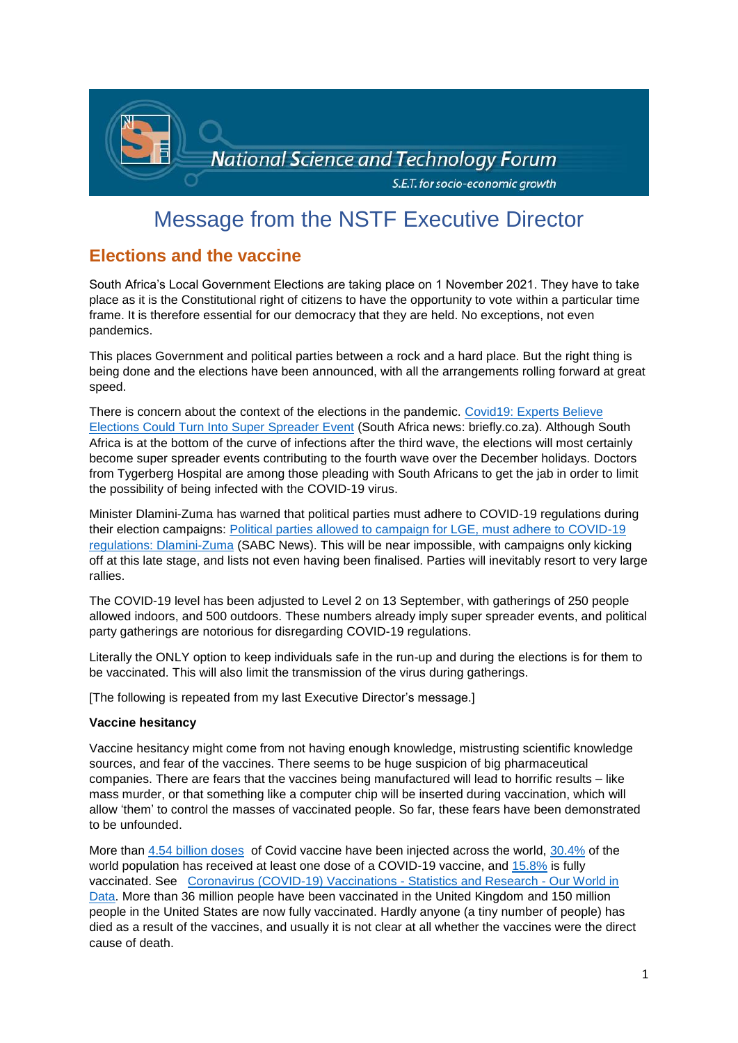

# Message from the NSTF Executive Director

## **Elections and the vaccine**

South Africa's Local Government Elections are taking place on 1 November 2021. They have to take place as it is the Constitutional right of citizens to have the opportunity to vote within a particular time frame. It is therefore essential for our democracy that they are held. No exceptions, not even pandemics.

This places Government and political parties between a rock and a hard place. But the right thing is being done and the elections have been announced, with all the arrangements rolling forward at great speed.

There is concern about the context of the elections in the pandemic. [Covid19: Experts Believe](https://briefly.co.za/109073-covid19-experts-believe-elections-could-turn-into-super-spreader-event.html)  [Elections Could Turn Into Super Spreader Event](https://briefly.co.za/109073-covid19-experts-believe-elections-could-turn-into-super-spreader-event.html) (South Africa news: briefly.co.za). Although South Africa is at the bottom of the curve of infections after the third wave, the elections will most certainly become super spreader events contributing to the fourth wave over the December holidays. Doctors from Tygerberg Hospital are among those pleading with South Africans to get the jab in order to limit the possibility of being infected with the COVID-19 virus.

Minister Dlamini-Zuma has warned that political parties must adhere to COVID-19 regulations during their election campaigns: [Political parties allowed to campaign for LGE, must adhere to COVID-19](https://www.sabcnews.com/sabcnews/political-parties-allowed-to-campaign-for-lge-must-adhere-to-covid-19-regulations-dlamini-zuma/)  [regulations: Dlamini-Zuma](https://www.sabcnews.com/sabcnews/political-parties-allowed-to-campaign-for-lge-must-adhere-to-covid-19-regulations-dlamini-zuma/) (SABC News). This will be near impossible, with campaigns only kicking off at this late stage, and lists not even having been finalised. Parties will inevitably resort to very large rallies.

The COVID-19 level has been adjusted to Level 2 on 13 September, with gatherings of 250 people allowed indoors, and 500 outdoors. These numbers already imply super spreader events, and political party gatherings are notorious for disregarding COVID-19 regulations.

Literally the ONLY option to keep individuals safe in the run-up and during the elections is for them to be vaccinated. This will also limit the transmission of the virus during gatherings.

[The following is repeated from my last Executive Director's message.]

#### **Vaccine hesitancy**

Vaccine hesitancy might come from not having enough knowledge, mistrusting scientific knowledge sources, and fear of the vaccines. There seems to be huge suspicion of big pharmaceutical companies. There are fears that the vaccines being manufactured will lead to horrific results – like mass murder, or that something like a computer chip will be inserted during vaccination, which will allow 'them' to control the masses of vaccinated people. So far, these fears have been demonstrated to be unfounded.

More than [4.54 billion doses](https://ourworldindata.org/explorers/coronavirus-data-explorer?zoomToSelection=true&pickerSort=asc&pickerMetric=location&Interval=Cumulative&Relative+to+Population=false&Align+outbreaks=false&country=~OWID_WRL&Metric=Vaccine+doses) of Covid vaccine have been injected across the world, [30.4%](https://ourworldindata.org/covid-vaccinations?country=OWID_WRL#what-share-of-the-population-has-received-at-least-one-dose-of-the-covid-19-vaccine) of the world population has received at least one dose of a COVID-19 vaccine, and [15.8%](https://ourworldindata.org/covid-vaccinations?country=OWID_WRL#what-share-of-the-population-has-been-fully-vaccinated-against-covid-19) is fully vaccinated. See [Coronavirus \(COVID-19\) Vaccinations -](https://ourworldindata.org/covid-vaccinations?country=OWID_WRL) Statistics and Research - Our World in [Data.](https://ourworldindata.org/covid-vaccinations?country=OWID_WRL) More than 36 million people have been vaccinated in the United Kingdom and 150 million people in the United States are now fully vaccinated. Hardly anyone (a tiny number of people) has died as a result of the vaccines, and usually it is not clear at all whether the vaccines were the direct cause of death.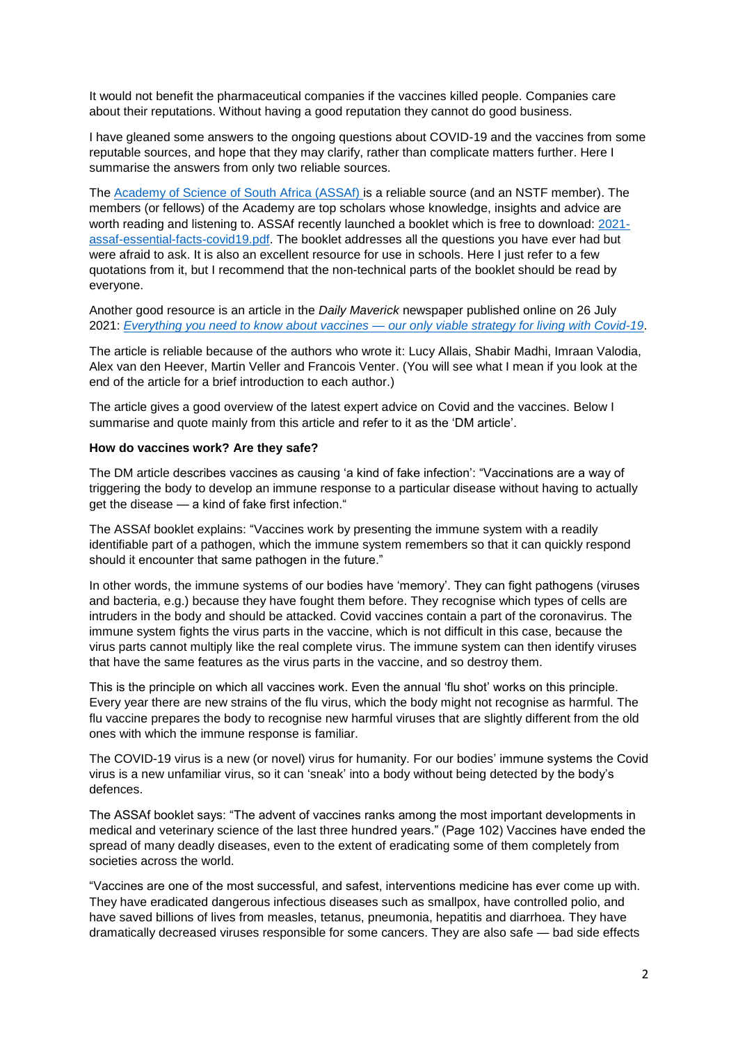It would not benefit the pharmaceutical companies if the vaccines killed people. Companies care about their reputations. Without having a good reputation they cannot do good business.

I have gleaned some answers to the ongoing questions about COVID-19 and the vaccines from some reputable sources, and hope that they may clarify, rather than complicate matters further. Here I summarise the answers from only two reliable sources.

The [Academy of Science of South Africa \(ASSAf\) i](https://www.assaf.org.za/)s a reliable source (and an NSTF member). The members (or fellows) of the Academy are top scholars whose knowledge, insights and advice are worth reading and listening to. ASSAf recently launched a booklet which is free to download: [2021](https://research.assaf.org.za/bitstream/handle/20.500.11911/194/2021-assaf-essential-facts-covid19.pdf?sequence=4&isAllowed=y) [assaf-essential-facts-covid19.pdf.](https://research.assaf.org.za/bitstream/handle/20.500.11911/194/2021-assaf-essential-facts-covid19.pdf?sequence=4&isAllowed=y) The booklet addresses all the questions you have ever had but were afraid to ask. It is also an excellent resource for use in schools. Here I just refer to a few quotations from it, but I recommend that the non-technical parts of the booklet should be read by everyone.

Another good resource is an article in the *Daily Maverick* newspaper published online on 26 July 2021: *[Everything you need to know about vaccines —](https://www.dailymaverick.co.za/article/2021-07-26-everything-you-need-to-know-about-vaccines-our-only-viable-strategy-for-living-with-covid-19/) our only viable strategy for living with Covid-19*.

The article is reliable because of the authors who wrote it: Lucy Allais, Shabir Madhi, Imraan Valodia, Alex van den Heever, Martin Veller and Francois Venter. (You will see what I mean if you look at the end of the article for a brief introduction to each author.)

The article gives a good overview of the latest expert advice on Covid and the vaccines. Below I summarise and quote mainly from this article and refer to it as the 'DM article'.

#### **How do vaccines work? Are they safe?**

The DM article describes vaccines as causing 'a kind of fake infection': "Vaccinations are a way of triggering the body to develop an immune response to a particular disease without having to actually get the disease — a kind of fake first infection."

The ASSAf booklet explains: "Vaccines work by presenting the immune system with a readily identifiable part of a pathogen, which the immune system remembers so that it can quickly respond should it encounter that same pathogen in the future."

In other words, the immune systems of our bodies have 'memory'. They can fight pathogens (viruses and bacteria, e.g.) because they have fought them before. They recognise which types of cells are intruders in the body and should be attacked. Covid vaccines contain a part of the coronavirus. The immune system fights the virus parts in the vaccine, which is not difficult in this case, because the virus parts cannot multiply like the real complete virus. The immune system can then identify viruses that have the same features as the virus parts in the vaccine, and so destroy them.

This is the principle on which all vaccines work. Even the annual 'flu shot' works on this principle. Every year there are new strains of the flu virus, which the body might not recognise as harmful. The flu vaccine prepares the body to recognise new harmful viruses that are slightly different from the old ones with which the immune response is familiar.

The COVID-19 virus is a new (or novel) virus for humanity. For our bodies' immune systems the Covid virus is a new unfamiliar virus, so it can 'sneak' into a body without being detected by the body's defences.

The ASSAf booklet says: "The advent of vaccines ranks among the most important developments in medical and veterinary science of the last three hundred years." (Page 102) Vaccines have ended the spread of many deadly diseases, even to the extent of eradicating some of them completely from societies across the world.

"Vaccines are one of the most successful, and safest, interventions medicine has ever come up with. They have eradicated dangerous infectious diseases such as smallpox, have controlled polio, and have saved billions of lives from measles, tetanus, pneumonia, hepatitis and diarrhoea. They have dramatically decreased viruses responsible for some cancers. They are also safe — bad side effects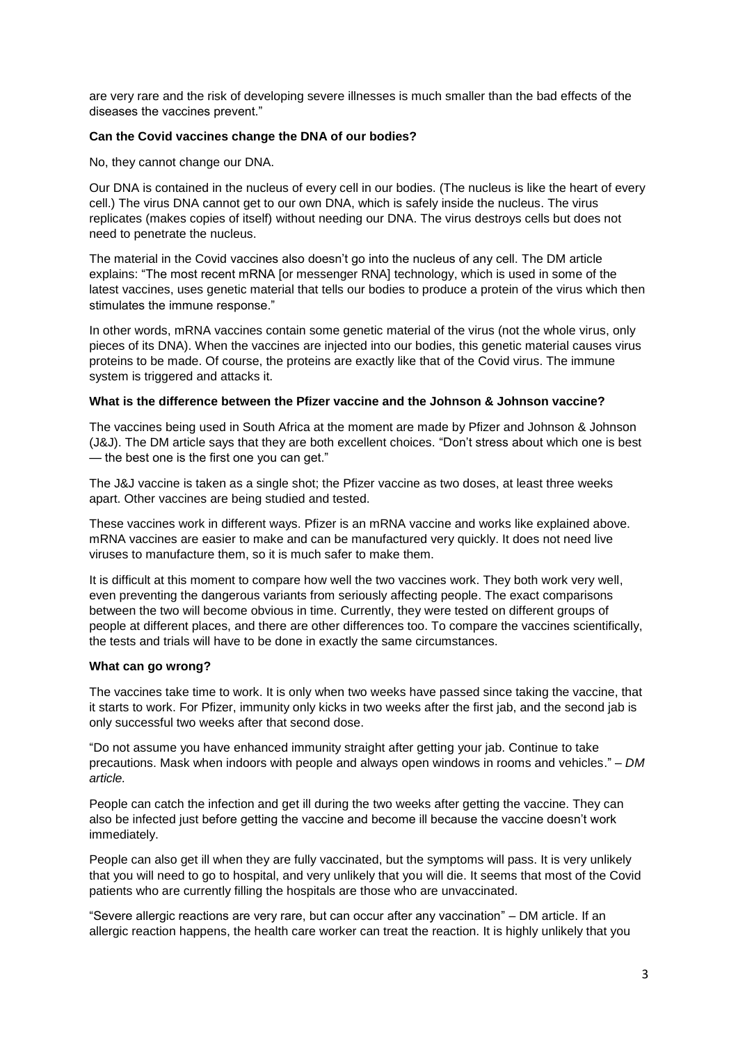are very rare and the risk of developing severe illnesses is much smaller than the bad effects of the diseases the vaccines prevent."

#### **Can the Covid vaccines change the DNA of our bodies?**

No, they cannot change our DNA.

Our DNA is contained in the nucleus of every cell in our bodies. (The nucleus is like the heart of every cell.) The virus DNA cannot get to our own DNA, which is safely inside the nucleus. The virus replicates (makes copies of itself) without needing our DNA. The virus destroys cells but does not need to penetrate the nucleus.

The material in the Covid vaccines also doesn't go into the nucleus of any cell. The DM article explains: "The most recent mRNA [or messenger RNA] technology, which is used in some of the latest vaccines, uses genetic material that tells our bodies to produce a protein of the virus which then stimulates the immune response."

In other words, mRNA vaccines contain some genetic material of the virus (not the whole virus, only pieces of its DNA). When the vaccines are injected into our bodies, this genetic material causes virus proteins to be made. Of course, the proteins are exactly like that of the Covid virus. The immune system is triggered and attacks it.

### **What is the difference between the Pfizer vaccine and the Johnson & Johnson vaccine?**

The vaccines being used in South Africa at the moment are made by Pfizer and Johnson & Johnson (J&J). The DM article says that they are both excellent choices. "Don't stress about which one is best — the best one is the first one you can get."

The J&J vaccine is taken as a single shot; the Pfizer vaccine as two doses, at least three weeks apart. Other vaccines are being studied and tested.

These vaccines work in different ways. Pfizer is an mRNA vaccine and works like explained above. mRNA vaccines are easier to make and can be manufactured very quickly. It does not need live viruses to manufacture them, so it is much safer to make them.

It is difficult at this moment to compare how well the two vaccines work. They both work very well, even preventing the dangerous variants from seriously affecting people. The exact comparisons between the two will become obvious in time. Currently, they were tested on different groups of people at different places, and there are other differences too. To compare the vaccines scientifically, the tests and trials will have to be done in exactly the same circumstances.

#### **What can go wrong?**

The vaccines take time to work. It is only when two weeks have passed since taking the vaccine, that it starts to work. For Pfizer, immunity only kicks in two weeks after the first jab, and the second jab is only successful two weeks after that second dose.

"Do not assume you have enhanced immunity straight after getting your jab. Continue to take precautions. Mask when indoors with people and always open windows in rooms and vehicles." – *DM article.*

People can catch the infection and get ill during the two weeks after getting the vaccine. They can also be infected just before getting the vaccine and become ill because the vaccine doesn't work immediately.

People can also get ill when they are fully vaccinated, but the symptoms will pass. It is very unlikely that you will need to go to hospital, and very unlikely that you will die. It seems that most of the Covid patients who are currently filling the hospitals are those who are unvaccinated.

"Severe allergic reactions are very rare, but can occur after any vaccination" – DM article. If an allergic reaction happens, the health care worker can treat the reaction. It is highly unlikely that you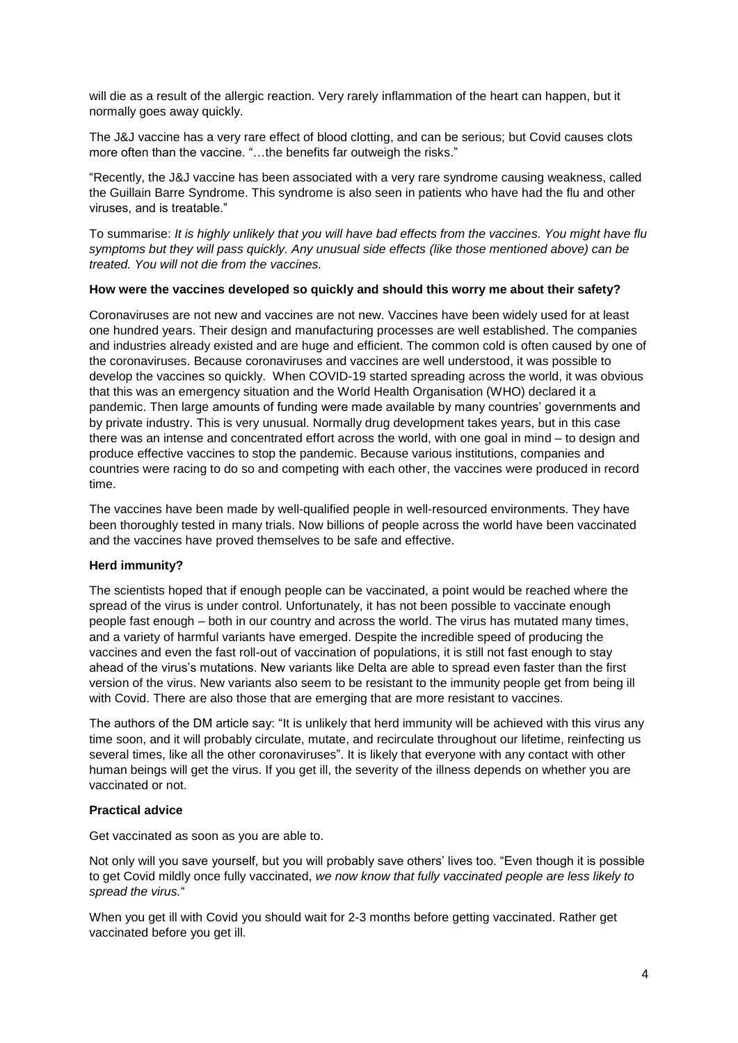will die as a result of the allergic reaction. Very rarely inflammation of the heart can happen, but it normally goes away quickly.

The J&J vaccine has a very rare effect of blood clotting, and can be serious; but Covid causes clots more often than the vaccine. "…the benefits far outweigh the risks."

"Recently, the J&J vaccine has been associated with a very rare syndrome causing weakness, called the Guillain Barre Syndrome. This syndrome is also seen in patients who have had the flu and other viruses, and is treatable."

To summarise: *It is highly unlikely that you will have bad effects from the vaccines. You might have flu symptoms but they will pass quickly. Any unusual side effects (like those mentioned above) can be treated. You will not die from the vaccines.*

#### **How were the vaccines developed so quickly and should this worry me about their safety?**

Coronaviruses are not new and vaccines are not new. Vaccines have been widely used for at least one hundred years. Their design and manufacturing processes are well established. The companies and industries already existed and are huge and efficient. The common cold is often caused by one of the coronaviruses. Because coronaviruses and vaccines are well understood, it was possible to develop the vaccines so quickly. When COVID-19 started spreading across the world, it was obvious that this was an emergency situation and the World Health Organisation (WHO) declared it a pandemic. Then large amounts of funding were made available by many countries' governments and by private industry. This is very unusual. Normally drug development takes years, but in this case there was an intense and concentrated effort across the world, with one goal in mind – to design and produce effective vaccines to stop the pandemic. Because various institutions, companies and countries were racing to do so and competing with each other, the vaccines were produced in record time.

The vaccines have been made by well-qualified people in well-resourced environments. They have been thoroughly tested in many trials. Now billions of people across the world have been vaccinated and the vaccines have proved themselves to be safe and effective.

#### **Herd immunity?**

The scientists hoped that if enough people can be vaccinated, a point would be reached where the spread of the virus is under control. Unfortunately, it has not been possible to vaccinate enough people fast enough – both in our country and across the world. The virus has mutated many times, and a variety of harmful variants have emerged. Despite the incredible speed of producing the vaccines and even the fast roll-out of vaccination of populations, it is still not fast enough to stay ahead of the virus's mutations. New variants like Delta are able to spread even faster than the first version of the virus. New variants also seem to be resistant to the immunity people get from being ill with Covid. There are also those that are emerging that are more resistant to vaccines.

The authors of the DM article say: "It is unlikely that herd immunity will be achieved with this virus any time soon, and it will probably circulate, mutate, and recirculate throughout our lifetime, reinfecting us several times, like all the other coronaviruses". It is likely that everyone with any contact with other human beings will get the virus. If you get ill, the severity of the illness depends on whether you are vaccinated or not.

#### **Practical advice**

Get vaccinated as soon as you are able to.

Not only will you save yourself, but you will probably save others' lives too. "Even though it is possible to get Covid mildly once fully vaccinated, *we now know that fully vaccinated people are less likely to spread the virus.*"

When you get ill with Covid you should wait for 2-3 months before getting vaccinated. Rather get vaccinated before you get ill.